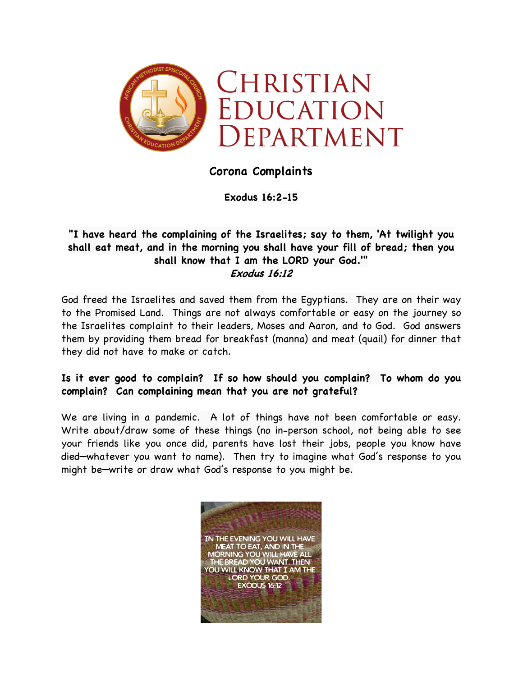

## **Corona Complaints**

**Exodus 16:2-15**

## **"I have heard the complaining of the Israelites; say to them, 'At twilight you shall eat meat, and in the morning you shall have your fill of bread; then you shall know that I am the LORD your God.'" Exodus 16:12**

God freed the Israelites and saved them from the Egyptians. They are on their way to the Promised Land. Things are not always comfortable or easy on the journey so the Israelites complaint to their leaders, Moses and Aaron, and to God. God answers them by providing them bread for breakfast (manna) and meat (quail) for dinner that they did not have to make or catch.

## **Is it ever good to complain? If so how should you complain? To whom do you complain? Can complaining mean that you are not grateful?**

We are living in a pandemic. A lot of things have not been comfortable or easy. Write about/draw some of these things (no in-person school, not being able to see your friends like you once did, parents have lost their jobs, people you know have died—whatever you want to name). Then try to imagine what God's response to you might be—write or draw what God's response to you might be.